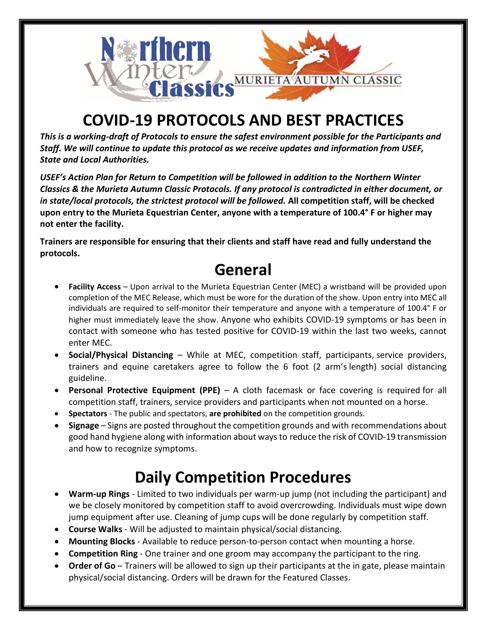

## **COVID-19 PROTOCOLS AND BEST PRACTICES**

*This is a working-draft of Protocols to ensure the safest environment possible for the Participants and Staff. We will continue to update this protocol as we receive updates and information from USEF, State and Local Authorities.*

*USEF's Action Plan for Return to Competition will be followed in addition to the Northern Winter Classics & the Murieta Autumn Classic Protocols. If any protocol is contradicted in either document, or in state/local protocols, the strictest protocol will be followed.* **All competition staff, will be checked upon entry to the Murieta Equestrian Center, anyone with a temperature of 100.4° F or higher may not enter the facility.**

**Trainers are responsible for ensuring that their clients and staff have read and fully understand the protocols.**

#### **General**

- **Facility Access** Upon arrival to the Murieta Equestrian Center (MEC) a wristband will be provided upon completion of the MEC Release, which must be wore for the duration of the show. Upon entry into MEC all individuals are required to self-monitor their temperature and anyone with a temperature of 100.4° F or higher must immediately leave the show. Anyone who exhibits COVID-19 symptoms or has been in contact with someone who has tested positive for COVID-19 within the last two weeks, cannot enter MEC.
- **Social/Physical Distancing** While at MEC, competition staff, participants, service providers, trainers and equine caretakers agree to follow the 6 foot (2 arm's length) social distancing guideline.
- **Personal Protective Equipment (PPE)** A cloth facemask or face covering is required for all competition staff, trainers, service providers and participants when not mounted on a horse.
- **Spectators** The public and spectators, **are prohibited** on the competition grounds.
- **Signage** Signs are posted throughout the competition grounds and with recommendations about good hand hygiene along with information about waysto reduce the risk of COVID-19 transmission and how to recognize symptoms.

## **Daily Competition Procedures**

- **Warm-up Rings** Limited to two individuals per warm-up jump (not including the participant) and we be closely monitored by competition staff to avoid overcrowding. Individuals must wipe down jump equipment after use. Cleaning of jump cups will be done regularly by competition staff.
- **Course Walks** Will be adjusted to maintain physical/social distancing.
- **Mounting Blocks** Available to reduce person-to-person contact when mounting a horse.
- **Competition Ring** One trainer and one groom may accompany the participant to the ring.
- **Order of Go** Trainers will be allowed to sign up their participants at the in gate, please maintain physical/social distancing. Orders will be drawn for the Featured Classes.